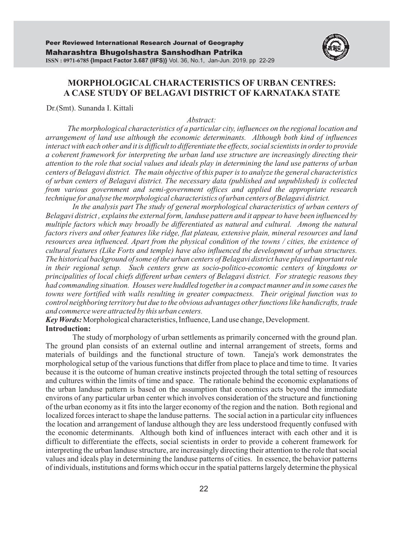

# **MORPHOLOGICAL CHARACTERISTICS OF URBAN CENTRES: A CASE STUDY OF BELAGAVI DISTRICT OF KARNATAKA STATE**

Dr.(Smt). Sunanda I. Kittali

#### *Abstract:*

*The morphological characteristics of a particular city, influences on the regional location and arrangement of land use although the economic determinants. Although both kind of influences interact with each other and it is difficult to differentiate the effects, social scientists in order to provide a coherent framework for interpreting the urban land use structure are increasingly directing their attention to the role that social values and ideals play in determining the land use patterns of urban centers of Belagavi district. The main objective of this paper is to analyze the general characteristics of urban centers of Belagavi district. The necessary data (published and unpublished) is collected from various government and semi-government offices and applied the appropriate research technique for analyse the morphological characteristics of urban centers of Belagavi district.* 

In the analysis part The study of general morphological characteristics of urban centers of *Belagavi district , explains the external form, landuse pattern and it appear to have been influenced by multiple factors which may broadly be differentiated as natural and cultural. Among the natural factors rivers and other features like ridge, flat plateau, extensive plain, mineral resources and land resources area influenced. Apart from the physical condition of the towns / cities, the existence of cultural features (Like Forts and temple) have also influenced the development of urban structures. The historical background of some of the urban centers of Belagavi district have played important role in their regional setup. Such centers grew as socio-politico-economic centers of kingdoms or principalities of local chiefs different urban centers of Belagavi district. For strategic reasons they had commanding situation. Houses were huddled together in a compact manner and in some cases the towns were fortified with walls resulting in greater compactness. Their original function was to control neighboring territory but due to the obvious advantages other functions like handicrafts, trade and commerce were attracted by this urban centers.*

*Key Words:* Morphological characteristics, Influence, Land use change, Development. **Introduction:**

The study of morphology of urban settlements as primarily concerned with the ground plan. The ground plan consists of an external outline and internal arrangement of streets, forms and materials of buildings and the functional structure of town. Taneja's work demonstrates the morphological setup of the various functions that differ from place to place and time to time. It varies because it is the outcome of human creative instincts projected through the total setting of resources and cultures within the limits of time and space. The rationale behind the economic explanations of the urban landuse pattern is based on the assumption that economics acts beyond the immediate environs of any particular urban center which involves consideration of the structure and functioning of the urban economy as it fits into the larger economy of the region and the nation. Both regional and localized forces interact to shape the landuse patterns. The social action in a particular city influences the location and arrangement of landuse although they are less understood frequently confused with the economic determinants. Although both kind of influences interact with each other and it is difficult to differentiate the effects, social scientists in order to provide a coherent framework for interpreting the urban landuse structure, are increasingly directing their attention to the role that social values and ideals play in determining the landuse patterns of cities. In essence, the behavior patterns of individuals, institutions and forms which occur in the spatial patterns largely determine the physical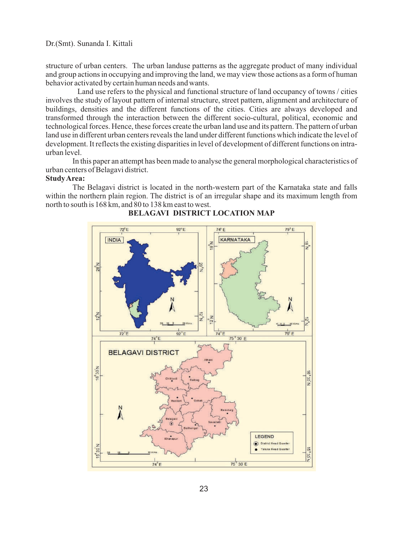structure of urban centers. The urban landuse patterns as the aggregate product of many individual and group actions in occupying and improving the land, we may view those actions as a form of human behavior activated by certain human needs and wants.

Land use refers to the physical and functional structure of land occupancy of towns / cities involves the study of layout pattern of internal structure, street pattern, alignment and architecture of buildings, densities and the different functions of the cities. Cities are always developed and transformed through the interaction between the different socio-cultural, political, economic and technological forces. Hence, these forces create the urban land use and its pattern. The pattern of urban land use in different urban centers reveals the land under different functions which indicate the level of development. It reflects the existing disparities in level of development of different functions on intraurban level.

In this paper an attempt has been made to analyse the general morphological characteristics of urban centers of Belagavi district.

#### **Study Area:**

The Belagavi district is located in the north-western part of the Karnataka state and falls within the northern plain region. The district is of an irregular shape and its maximum length from north to south is 168 km, and 80 to 138 km east to west.



### **BELAGAVI DISTRICT LOCATION MAP**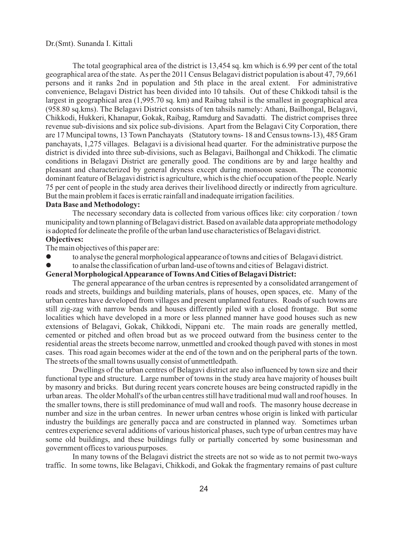The total geographical area of the district is 13,454 sq. km which is 6.99 per cent of the total geographical area of the state. As per the 2011 Census Belagavi district population is about 47, 79,661 persons and it ranks 2nd in population and 5th place in the areal extent. For administrative convenience, Belagavi District has been divided into 10 tahsils. Out of these Chikkodi tahsil is the largest in geographical area (1,995.70 sq. km) and Raibag tahsil is the smallest in geographical area (958.80 sq.kms). The Belagavi District consists of ten tahsils namely: Athani, Bailhongal, Belagavi, Chikkodi, Hukkeri, Khanapur, Gokak, Raibag, Ramdurg and Savadatti. The district comprises three revenue sub-divisions and six police sub-divisions. Apart from the Belagavi City Corporation, there are 17 Muncipal towns, 13 Town Panchayats (Statutory towns- 18 and Census towns-13), 485 Gram panchayats, 1,275 villages. Belagavi is a divisional head quarter. For the administrative purpose the district is divided into three sub-divisions, such as Belagavi, Bailhongal and Chikkodi. The climatic conditions in Belagavi District are generally good. The conditions are by and large healthy and pleasant and characterized by general dryness except during monsoon season. The economic dominant feature of Belagavi district is agriculture, which is the chief occupation of the people. Nearly 75 per cent of people in the study area derives their livelihood directly or indirectly from agriculture. But the main problem it faces is erratic rainfall and inadequate irrigation facilities.

#### **Data Base and Methodology:**

The necessary secondary data is collected from various offices like: city corporation / town municipality and town planning of Belagavi district. Based on available data appropriate methodology is adopted for delineate the profile of the urban land use characteristics of Belagavi district.

## **Objectives:**

The main objectives of this paper are:

- to analyse the general morphological appearance of towns and cities of Belagavi district.
- to analse the classification of urban land-use of towns and cities of Belagavi district.

### **General Morphological Appearance of Towns And Cities of Belagavi District:**

The general appearance of the urban centres is represented by a consolidated arrangement of roads and streets, buildings and building materials, plans of houses, open spaces, etc. Many of the urban centres have developed from villages and present unplanned features. Roads of such towns are still zig-zag with narrow bends and houses differently piled with a closed frontage. But some localities which have developed in a more or less planned manner have good houses such as new extensions of Belagavi, Gokak, Chikkodi, Nippani etc. The main roads are generally mettled, cemented or pitched and often broad but as we proceed outward from the business center to the residential areas the streets become narrow, unmettled and crooked though paved with stones in most cases. This road again becomes wider at the end of the town and on the peripheral parts of the town. The streets of the small towns usually consist of unmettledpath.

Dwellings of the urban centres of Belagavi district are also influenced by town size and their functional type and structure. Large number of towns in the study area have majority of houses built by masonry and bricks. But during recent years concrete houses are being constructed rapidly in the urban areas. The older Mohall's of the urban centres still have traditional mud wall and roof houses. In the smaller towns, there is still predominance of mud wall and roofs. The masonry house decrease in number and size in the urban centres. In newer urban centres whose origin is linked with particular industry the buildings are generally pacca and are constructed in planned way. Sometimes urban centres experience several additions of various historical phases, such type of urban centres may have some old buildings, and these buildings fully or partially concerted by some businessman and government offices to various purposes.

In many towns of the Belagavi district the streets are not so wide as to not permit two-ways traffic. In some towns, like Belagavi, Chikkodi, and Gokak the fragmentary remains of past culture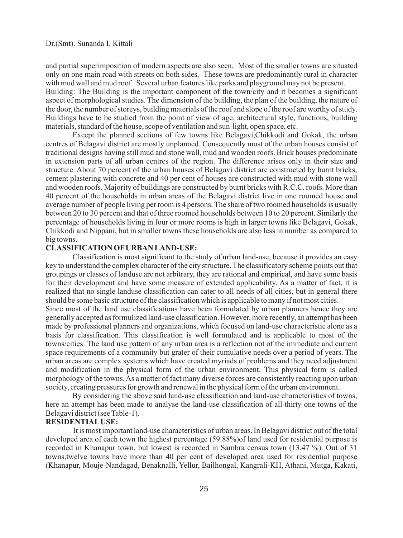and partial superimposition of modern aspects are also seen. Most of the smaller towns are situated only on one main road with streets on both sides. These towns are predominantly rural in character with mud wall and mud roof. Several urban features like parks and playground may not be present. Building: The Building is the important component of the town/city and it becomes a significant aspect of morphological studies. The dimension of the building, the plan of the building, the nature of the door, the number of storeys, building materials of the roof and slope of the roof are worthy of study. Buildings have to be studied from the point of view of age, architectural style, functions, building materials, standard of the house, scope of ventilation and sun-light, open space, etc.

Except the planned sections of few towns like Belagavi,Chikkodi and Gokak, the urban centres of Belagavi district are mostly unplanned. Consequently most of the urban houses consist of traditional designs having still mud and stone wall, mud and wooden roofs. Brick houses predominate in extension parts of all urban centres of the region. The difference arises only in their size and structure. About 70 percent of the urban houses of Belagavi district are constructed by burnt bricks, cement plastering with concrete and 40 per cent of houses are constructed with mud with stone wall and wooden roofs. Majority of buildings are constructed by burnt bricks with R.C.C. roofs. More than 40 percent of the households in urban areas of the Belagavi district live in one roomed house and average number of people living per room is 4 persons. The share of two roomed households is usually between 20 to 30 percent and that of three roomed households between 10 to 20 percent. Similarly the percentage of households living in four or more rooms is high in larger towns like Belagavi, Gokak, Chikkodi and Nippani, but in smaller towns these households are also less in number as compared to big towns.

#### **CLASSIFICATION OFURBAN LAND-USE:**

Classification is most significant to the study of urban land-use, because it provides an easy key to understand the complex character of the city structure. The classificatory scheme points out that groupings or classes of landuse are not arbitrary, they are rational and empirical, and have some basis for their development and have some measure of extended applicability. As a matter of fact, it is realized that no single landuse classification can cater to all needs of all cities, but in general there should be some basic structure of the classification which is applicable to many if not most cities. Since most of the land use classifications have been formulated by urban planners hence they are generally accepted as formulized land-use classification. However, more recently, an attempt has been made by professional planners and organizations, which focused on land-use characteristic alone as a basis for classification. This classification is well formulated and is applicable to most of the towns/cities. The land use pattern of any urban area is a reflection not of the immediate and current space requirements of a community but grater of their cumulative needs over a period of years. The urban areas are complex systems which have created myriads of problems and they need adjustment and modification in the physical form of the urban environment. This physical form is called morphology of the towns. As a matter of fact many diverse forces are consistently reacting upon urban society, creating pressures for growth and renewal in the physical form of the urban environment.

By considering the above said land-use classification and land-use characteristics of towns, here an attempt has been made to analyse the land-use classification of all thirty one towns of the Belagavi district (see Table-1).

### **RESIDENTIALUSE:**

It is most important land-use characteristics of urban areas. In Belagavi district out of the total developed area of each town the highest percentage (59.88%)of land used for residential purpose is recorded in Khanapur town, but lowest is recorded in Sambra census town (13.47 %). Out of 31 towns,twelve towns have more than 40 per cent of developed area used for residential purpose (Khanapur, Mouje-Nandagad, Benaknalli, Yellur, Bailhongal, Kangrali-KH, Athani, Mutga, Kakati,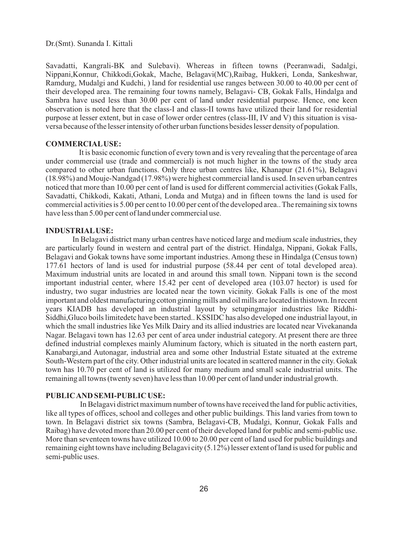Savadatti, Kangrali-BK and Sulebavi). Whereas in fifteen towns (Peeranwadi, Sadalgi, Nippani,Konnur, Chikkodi,Gokak, Mache, Belagavi(MC),Raibag, Hukkeri, Londa, Sankeshwar, Ramdurg, Mudalgi and Kudchi, ) land for residential use ranges between 30.00 to 40.00 per cent of their developed area. The remaining four towns namely, Belagavi- CB, Gokak Falls, Hindalga and Sambra have used less than 30.00 per cent of land under residential purpose. Hence, one keen observation is noted here that the class-I and class-II towns have utilized their land for residential purpose at lesser extent, but in case of lower order centres (class-III, IV and V) this situation is visaversa because of the lesser intensity of other urban functions besides lesser density of population.

#### **COMMERCIALUSE:**

It is basic economic function of every town and is very revealing that the percentage of area under commercial use (trade and commercial) is not much higher in the towns of the study area compared to other urban functions. Only three urban centres like, Khanapur (21.61%), Belagavi (18.98%) and Mouje-Nandgad (17.98%) were highest commercial land is used. In seven urban centres noticed that more than 10.00 per cent of land is used for different commercial activities (Gokak Falls, Savadatti, Chikkodi, Kakati, Athani, Londa and Mutga) and in fifteen towns the land is used for commercial activities is 5.00 per cent to 10.00 per cent of the developed area.. The remaining six towns have less than 5.00 per cent of land under commercial use.

#### **INDUSTRIALUSE:**

In Belagavi district many urban centres have noticed large and medium scale industries, they are particularly found in western and central part of the district. Hindalga, Nippani, Gokak Falls, Belagavi and Gokak towns have some important industries. Among these in Hindalga (Census town) 177.61 hectors of land is used for industrial purpose (58.44 per cent of total developed area). Maximum industrial units are located in and around this small town. Nippani town is the second important industrial center, where 15.42 per cent of developed area (103.07 hector) is used for industry, two sugar industries are located near the town vicinity. Gokak Falls is one of the most important and oldest manufacturing cotton ginning mills and oil mills are located in thistown. In recent years KIADB has developed an industrial layout by setupingmajor industries like Riddhi-Siddhi,Gluco boils limitedetc have been started.. KSSIDC has also developed one industrial layout, in which the small industries like Yes Milk Dairy and its allied industries are located near Vivekananda Nagar. Belagavi town has 12.63 per cent of area under industrial category. At present there are three defined industrial complexes mainly Aluminum factory, which is situated in the north eastern part, Kanabargi,and Autonagar, industrial area and some other Industrial Estate situated at the extreme South-Western part of the city. Other industrial units are located in scattered manner in the city. Gokak town has 10.70 per cent of land is utilized for many medium and small scale industrial units. The remaining all towns (twenty seven) have less than 10.00 per cent of land under industrial growth.

### **PUBLIC AND SEMI-PUBLIC USE:**

In Belagavi district maximum number of towns have received the land for public activities, like all types of offices, school and colleges and other public buildings. This land varies from town to town. In Belagavi district six towns (Sambra, Belagavi-CB, Mudalgi, Konnur, Gokak Falls and Raibag) have devoted more than 20.00 per cent of their developed land for public and semi-public use. More than seventeen towns have utilized 10.00 to 20.00 per cent of land used for public buildings and remaining eight towns have including Belagavi city (5.12%) lesser extent of land is used for public and semi-public uses.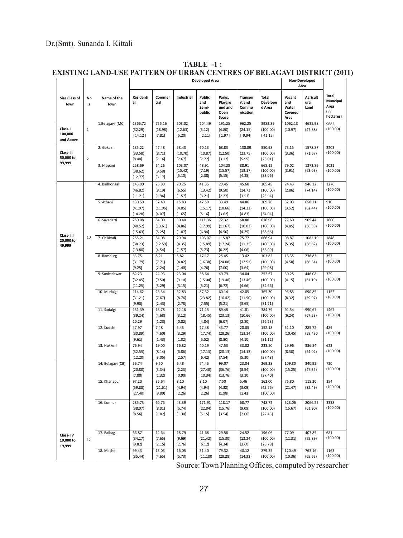| <b>Size Class of</b><br>Town                                        | No<br>s        | Name of the<br>Town | <b>Developed Area</b>        |                           |                             |                                  |                                               |                                               |                                    | <b>Non-Developed</b><br>Area              |                                 |                                                      |
|---------------------------------------------------------------------|----------------|---------------------|------------------------------|---------------------------|-----------------------------|----------------------------------|-----------------------------------------------|-----------------------------------------------|------------------------------------|-------------------------------------------|---------------------------------|------------------------------------------------------|
|                                                                     |                |                     | Residenti<br>al              | Commer<br>cial            | Industrial                  | Public<br>and<br>Semi-<br>public | Parks,<br>Playgro<br>und and<br>Open<br>Space | <b>Transpo</b><br>rt and<br>Commu<br>nication | <b>Total</b><br>Develope<br>d Area | Vacant<br>and<br>Water<br>Covered<br>Area | <b>Agricult</b><br>ural<br>Land | <b>Total</b><br>Muncipal<br>Area<br>(in<br>hectares) |
|                                                                     |                | 1.Belagavi (MC)     | 1366.72                      | 756.16                    | 503.02                      | 204.49                           | 191.25                                        | 962.25                                        | 3983.89                            | 1062.13                                   | 4635.98                         | 9682                                                 |
| Class-1<br>100,000<br>and Above                                     | $\mathbf 1$    |                     | (32.29)<br>[14.12]           | (18.98)<br>[7.81]         | (12.63)<br>[5.20]           | (5.12)<br>[2.11]                 | (4.80)<br>[1.97]                              | (24.15)<br>[9.94]                             | (100.00)<br>[41.15]                | (10.97)                                   | (47.88)                         | (100.00)                                             |
| Class-II<br>50,000 to<br>99,999<br>Class-III<br>20,000 to<br>49,999 |                | 2. Gokak            | 185.22                       | 47.48                     | 58.43                       | 60.13                            | 68.83                                         | 130.89                                        | 550.98                             | 73.15                                     | 1578.87                         | 2203                                                 |
|                                                                     |                |                     | (33.58)                      | (8.71)                    | (10.70)                     | (10.87)                          | (12.50)                                       | (23.75)                                       | (100.00)                           | (3.36)                                    | (71.67)                         | (100.00)                                             |
|                                                                     | $\overline{2}$ |                     | [8.40]                       | [2.16]                    | [2.67]                      | [2.72]                           | [3.12]                                        | [5.95]                                        | [25.01]                            |                                           |                                 |                                                      |
|                                                                     |                | 3. Nippani          | 258.69<br>(38.62)<br>[12.77] | 64.26<br>(9.58)<br>[3.17] | 103.07<br>(15.42)<br>[5.10] | 48.91<br>(7.19)<br>[2.38]        | 104.28<br>(15.57)<br>[5.15]                   | 88.91<br>(13.17)<br>[4.35]                    | 668.12<br>(100.00)<br>[33.06]      | 79.02<br>(3.91)                           | 1273.86<br>(63.03)              | 2021<br>(100.00)                                     |
|                                                                     |                | 4. Bailhongal       | 143.00                       | 25.80                     | 20.25                       | 41.35                            | 29.45                                         | 45.60                                         | 305.45                             | 24.43                                     | 946.12                          | 1276                                                 |
|                                                                     |                |                     | (46.82)                      | (8.19)                    | (6.55)                      | (13.42)                          | (9.50)                                        | (14.73)                                       | (100.00)                           | (2.86)                                    | (74.14)                         | (100.00)                                             |
|                                                                     |                |                     | [11.21]                      | [1.96]                    | [1.57]                      | [3.21]                           | [2.27]                                        | [3.53]                                        | [23.94]                            |                                           |                                 |                                                      |
|                                                                     |                | 5. Athani           | 130.59                       | 37.40                     | 15.83                       | 47.59                            | 33.49                                         | 44.86                                         | 309.76                             | 32.03                                     | 658.21                          | 910                                                  |
|                                                                     |                |                     | (41.97)                      | (11.95)                   | (4.85)                      | (15.17)                          | (10.66)                                       | (14.22)                                       | (100.00)                           | (3.52)                                    | (62.44)                         | (100.00)                                             |
|                                                                     |                |                     | [14.28]                      | [4.07]                    | [1.65]                      | [5.16]                           | [3.62]                                        | [4.83]                                        | [34.04]                            |                                           |                                 |                                                      |
|                                                                     |                | 6. Savadatti        | 250.08<br>(40.52)            | 84.00<br>(13.61)          | 30.40<br>(4.86)             | 111.36<br>(17.99)                | 72.32<br>(11.67)                              | 68.80<br>(10.02)                              | 616.96<br>(100.00)                 | 77.60<br>(4.85)                           | 905.44<br>(56.59)               | 1600<br>(100.00)                                     |
|                                                                     |                |                     | [15.63]                      | [5.25]                    | [1.87]                      | [6.94]                           | [4.50]                                        | [4.25]                                        | [38.56]                            |                                           |                                 |                                                      |
|                                                                     | 10             | 7. Chikkodi         | 255.21                       | 84.08                     | 29.94                       | 106.07                           | 115.87                                        | 75.77                                         | 666.94                             | 98.87                                     | 1082.19                         | 1848                                                 |
|                                                                     |                |                     | (38.23)                      | (12.59)                   | (4.35)                      | (15.89)                          | (17.24)                                       | (11.25)                                       | (100.00)                           | (5.35)                                    | (58.62)                         | (100.00)                                             |
|                                                                     |                |                     | [13.80]                      | [4.54]                    | [1.57]                      | [5.73]                           | [6.22]                                        | [4.06]                                        | [36.09]                            |                                           |                                 |                                                      |
|                                                                     |                | 8. Ramdurg          | 33.75                        | 8.21                      | 5.82                        | 17.17                            | 25.45                                         | 13.42                                         | 103.82                             | 16.35                                     | 236.83                          | 357                                                  |
|                                                                     |                |                     | (31.79)                      | (7.71)                    | (4.82)                      | (16.38)                          | (24.08)                                       | (12.52)                                       | (100.00)                           | (4.58)                                    | (66.34)                         | (100.00)                                             |
|                                                                     |                |                     | [9.25]                       | [2.24]                    | [1.40]                      | [4.76]                           | [7.00]                                        | [3.64]                                        | [29.08]                            |                                           |                                 |                                                      |
|                                                                     |                | 9. Sankeshwar       | 82.23                        | 24.93                     | 23.04                       | 38.64                            | 49.79                                         | 34.04                                         | 252.67                             | 30.25                                     | 446.08                          | 729<br>(100.00)                                      |
|                                                                     |                |                     | (32.45)                      | (9.50)<br>[3.29]          | (9.10)                      | (15.04)<br>[5.21]                | (19.40)                                       | (13.46)<br>[4.66]                             | (100.00)<br>[34.66]                | (4.15)                                    | (61.19)                         |                                                      |
|                                                                     |                | 10. Mudalgi         | [11.25]<br>114.62            | 28.34                     | [3.15]<br>32.83             | 87.32                            | [6.72]<br>60.14                               | 42.05                                         | 365.30                             | 95.85                                     | 690.85                          | 1152                                                 |
|                                                                     |                |                     | (31.21)                      | (7.67)                    | (8.76)                      | (23.82)                          | (16.42)                                       | (11.50)                                       | (100.00)                           | (8.32)                                    | (59.97)                         | (100.00)                                             |
|                                                                     |                |                     | [9.90]                       | [2.43]                    | [2.78]                      | [7.55]                           | [5.21]                                        | [3.65]                                        | [31.71]                            |                                           |                                 |                                                      |
|                                                                     |                | 11. Sadalgi         | 151.39                       | 18.78                     | 12.18                       | 71.15                            | 89.48                                         | 41.81                                         | 384.79                             | 91.54                                     | 990.67                          | 1467                                                 |
|                                                                     |                |                     | (39.24)                      | (4.68)                    | (3.12)                      | (18.45)                          | (23.13)                                       | (10.66)                                       | (100.00)                           | (6.24)                                    | (67.53)                         | (100.00)                                             |
|                                                                     |                |                     | 10.29                        | [1.23]                    | [0.82]                      | [4.84]                           | [6.07]                                        | [2.80]                                        | [26.23]                            |                                           |                                 |                                                      |
|                                                                     |                | 12. Kudchi          | 47.97                        | 7.48                      | 5.43                        | 27.48                            | 43.77                                         | 20.05                                         | 152.18                             | 51.10                                     | 285.72                          | 489                                                  |
|                                                                     |                |                     | (30.89)                      | (4.60)                    | (3.29)                      | (17.74)                          | (28.26)                                       | (13.14)                                       | (100.00)                           | (10.45)                                   | (58.430)                        | (100.00)                                             |
|                                                                     |                | 13. Hukkeri         | [9.61]                       | [1.43]                    | [1.02]                      | [5.52]<br>40.19                  | [8.80]<br>47.53                               | [4.10]                                        | [31.12]                            | 29.96                                     | 336.54                          | 623                                                  |
|                                                                     |                |                     | 76.94<br>(32.55)             | 19.00<br>(8.14)           | 16.82<br>(6.86)             | (17.13)                          | (20.13)                                       | 33.02<br>(14.13)                              | 233.50<br>(100.00)                 | (8.50)                                    | (54.02)                         | (100.00)                                             |
|                                                                     |                |                     | [12.20]                      | [3.05]                    | [2.57]                      | [6.42]                           | [7.54]                                        | [5.30]                                        | [37.48]                            |                                           |                                 |                                                      |
|                                                                     |                | 14. Belagavi (CB)   | 56.74                        | 9.50                      | 6.48                        | 74.45                            | 99.07                                         | 23.04                                         | 269.28                             | 109.80                                    | 340.92                          | 720                                                  |
|                                                                     |                |                     | (20.80)                      | (3.34)                    | (2.23)                      | (27.48)                          | (36.76)                                       | (8.54)                                        | (100.00)                           | (15.25)                                   | (47.35)                         | (100.00)                                             |
|                                                                     |                |                     | [7.88]                       | [1.32]                    | [0.90]                      | [10.34]                          | [13.76]                                       | [3.20]                                        | [37.40]                            |                                           |                                 |                                                      |
|                                                                     |                | 15. Khanapur        | 97.20                        | 35.64                     | 8.10                        | 8.10                             | 7.50                                          | 5.46                                          | 162.00                             | 76.80                                     | 115.20                          | 354                                                  |
|                                                                     |                |                     | (59.88)                      | (21.61)                   | (4.94)                      | (4.94)                           | (4.32)                                        | (3.09)                                        | (45.76)                            | (21.47)                                   | (32.49)                         | (100.00)                                             |
|                                                                     |                |                     | [27.40]                      | [9.89]                    | [2.26]                      | [2.26]                           | [1.98]                                        | [1.41]                                        | [100.00]                           |                                           |                                 |                                                      |
|                                                                     |                | 16. Konnur          | 285.73                       | 60.75                     | 43.39                       | 171.91                           | 118.17                                        | 68.77                                         | 748.72                             | 523.06                                    | 2066.22                         | 3338                                                 |
|                                                                     |                |                     | (38.07)                      | (8.01)                    | (5.74)                      | (22.84)                          | (15.76)                                       | (9.09)                                        | (100.00)                           | (15.67)                                   | (61.90)                         | (100.00)                                             |
|                                                                     |                |                     | [8.56]                       | [1.82]                    | [1.30]                      | [5.15]                           | [3.54]                                        | [2.06]                                        | [22.43]                            |                                           |                                 |                                                      |
| Class-IV                                                            |                | 17. Raibag          | 66.87                        | 14.64                     | 18.79                       | 41.68                            | 29.56                                         | 24.52                                         | 196.06                             | 77.09                                     | 407.85                          | 681                                                  |
| 10,000 to<br>19,999                                                 | 12             |                     | (34.17)                      | (7.65)                    | (9.69)                      | (21.42)                          | (15.30)                                       | (12.24)                                       | (100.00)                           | (11.31)                                   | (59.89)                         | (100.00)                                             |
|                                                                     |                |                     | [9.82]                       | [2.15]                    | [2.76]                      | [6.12]                           | [4.34]                                        | [3.60]                                        | [28.79]                            |                                           |                                 |                                                      |
|                                                                     |                | 18. Mache           | 99.43                        | 13.03                     | 16.05                       | 31.40                            | 79.32                                         | 40.12                                         | 279.35                             | 120.49                                    | 763.16                          | 1163                                                 |
|                                                                     |                |                     | (35.44)                      | (4.65)                    | (5.73)                      | (11.100)                         | (28.28)                                       | (14.32)                                       | (100.00)                           | (10.36)                                   | (65.62)                         | (100.00)                                             |

# **TABLE -1 :**

# **EXISTING LAND-USE PATTERN OF URBAN CENTRES OF BELAGAVI DISTRICT (2011)**

Source: Town Planning Offices, computed by researcher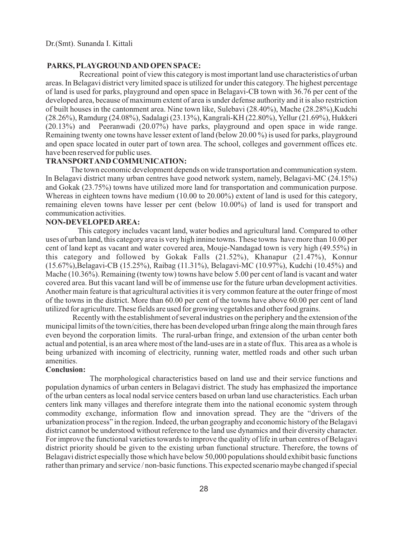#### **PARKS, PLAYGROUND AND OPEN SPACE:**

Recreational point of view this category is most important land use characteristics of urban areas. In Belagavi district very limited space is utilized for under this category. The highest percentage of land is used for parks, playground and open space in Belagavi-CB town with 36.76 per cent of the developed area, because of maximum extent of area is under defense authority and it is also restriction of built houses in the cantonment area. Nine town like, Sulebavi (28.40%), Mache (28.28%),Kudchi (28.26%), Ramdurg (24.08%), Sadalagi (23.13%), Kangrali-KH (22.80%), Yellur (21.69%), Hukkeri (20.13%) and Peeranwadi (20.07%) have parks, playground and open space in wide range. Remaining twenty one towns have lesser extent of land (below 20.00 %) is used for parks, playground and open space located in outer part of town area. The school, colleges and government offices etc. have been reserved for public uses.

## **TRANSPORTAND COMMUNICATION:**

 The town economic development depends on wide transportation and communication system. In Belagavi district many urban centres have good network system, namely, Belagavi-MC (24.15%) and Gokak (23.75%) towns have utilized more land for transportation and communication purpose. Whereas in eighteen towns have medium (10.00 to 20.00%) extent of land is used for this category, remaining eleven towns have lesser per cent (below 10.00%) of land is used for transport and communication activities.

## **NON-DEVELOPED AREA:**

This category includes vacant land, water bodies and agricultural land. Compared to other uses of urban land, this category area is very high innine towns. These towns have more than 10.00 per cent of land kept as vacant and water covered area, Mouje-Nandagad town is very high (49.55%) in this category and followed by Gokak Falls (21.52%), Khanapur (21.47%), Konnur (15.67%),Belagavi-CB (15.25%), Raibag (11.31%), Belagavi-MC (10.97%), Kudchi (10.45%) and Mache (10.36%). Remaining (twenty tow) towns have below 5.00 per cent of land is vacant and water covered area. But this vacant land will be of immense use for the future urban development activities. Another main feature is that agricultural activities it is very common feature at the outer fringe of most of the towns in the district. More than 60.00 per cent of the towns have above 60.00 per cent of land utilized for agriculture. These fields are used for growing vegetables and other food grains.

Recently with the establishment of several industries on the periphery and the extension of the municipal limits of the town/cities, there has been developed urban fringe along the main through fares even beyond the corporation limits. The rural-urban fringe, and extension of the urban center both actual and potential, is an area where most of the land-uses are in a state of flux. This area as a whole is being urbanized with incoming of electricity, running water, mettled roads and other such urban amenities.

#### **Conclusion:**

The morphological characteristics based on land use and their service functions and population dynamics of urban centers in Belagavi district. The study has emphasized the importance of the urban centers as local nodal service centers based on urban land use characteristics. Each urban centers link many villages and therefore integrate them into the national economic system through commodity exchange, information flow and innovation spread. They are the "drivers of the urbanization process" in the region. Indeed, the urban geography and economic history of the Belagavi district cannot be understood without reference to the land use dynamics and their diversity character. For improve the functional varieties towards to improve the quality of life in urban centres of Belagavi district priority should be given to the existing urban functional structure. Therefore, the towns of Belagavi district especially those which have below 50,000 populations should exhibit basic functions rather than primary and service / non-basic functions. This expected scenario maybe changed if special